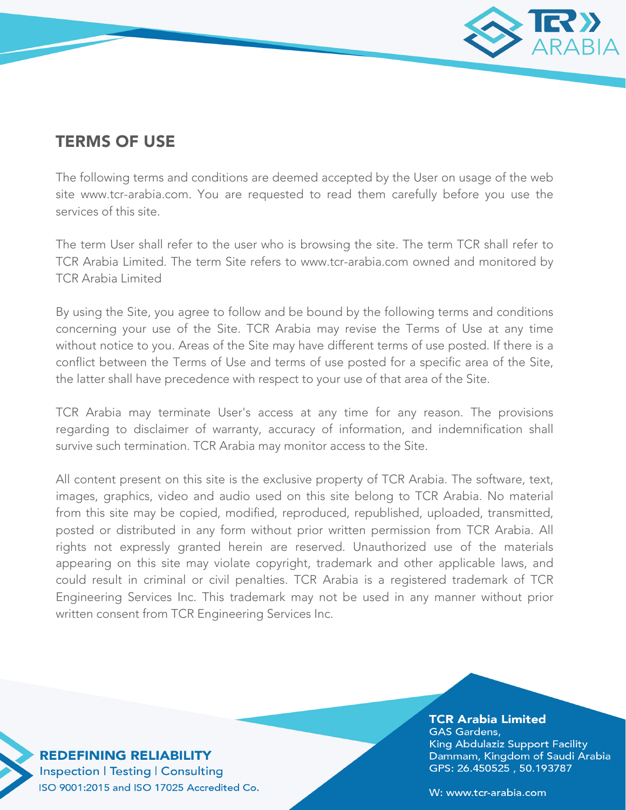

## TERMS OF USE

The following terms and conditions are deemed accepted by the User on usage of the web site www.tcr-arabia.com. You are requested to read them carefully before you use the services of this site.

The term User shall refer to the user who is browsing the site. The term TCR shall refer to TCR Arabia Limited. The term Site refers to www.tcr-arabia.com owned and monitored by TCR Arabia Limited

By using the Site, you agree to follow and be bound by the following terms and conditions concerning your use of the Site. TCR Arabia may revise the Terms of Use at any time without notice to you. Areas of the Site may have different terms of use posted. If there is a conflict between the Terms of Use and terms of use posted for a specific area of the Site, the latter shall have precedence with respect to your use of that area of the Site.

TCR Arabia may terminate User's access at any time for any reason. The provisions regarding to disclaimer of warranty, accuracy of information, and indemnification shall survive such termination. TCR Arabia may monitor access to the Site.

All content present on this site is the exclusive property of TCR Arabia. The software, text, images, graphics, video and audio used on this site belong to TCR Arabia. No material from this site may be copied, modified, reproduced, republished, uploaded, transmitted, posted or distributed in any form without prior written permission from TCR Arabia. All rights not expressly granted herein are reserved. Unauthorized use of the materials appearing on this site may violate copyright, trademark and other applicable laws, and could result in criminal or civil penalties. TCR Arabia is a registered trademark of TCR Engineering Services Inc. This trademark may not be used in any manner without prior written consent from TCR Engineering Services Inc.

**REDEFINING RELIABILITY Inspection | Testing | Consulting** ISO 9001:2015 and ISO 17025 Accredited Co.

## **TCR Arabia Limited GAS Gardens,** King Abdulaziz Support Facility Dammam, Kingdom of Saudi Arabia GPS: 26.450525, 50.193787

W: www.tcr-arabia.com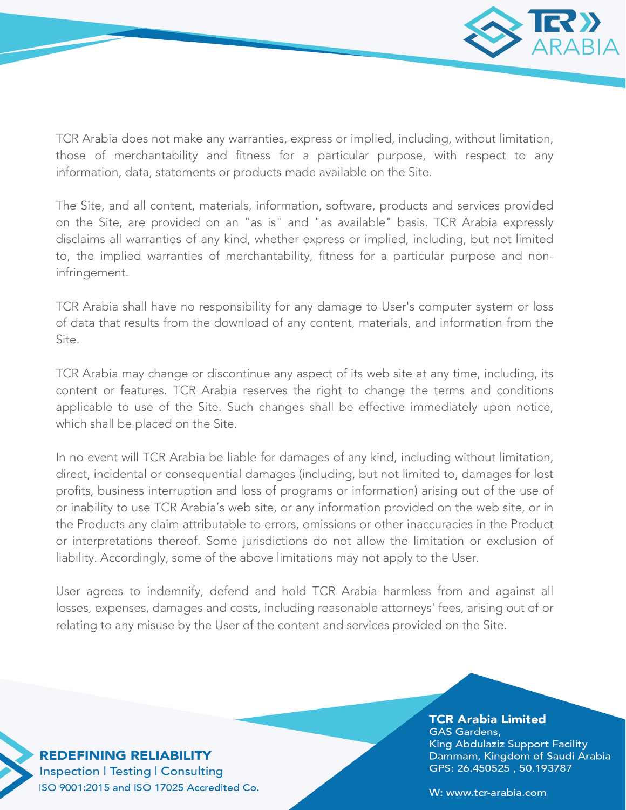

TCR Arabia does not make any warranties, express or implied, including, without limitation, those of merchantability and fitness for a particular purpose, with respect to any information, data, statements or products made available on the Site.

The Site, and all content, materials, information, software, products and services provided on the Site, are provided on an "as is" and "as available" basis. TCR Arabia expressly disclaims all warranties of any kind, whether express or implied, including, but not limited to, the implied warranties of merchantability, fitness for a particular purpose and noninfringement.

TCR Arabia shall have no responsibility for any damage to User's computer system or loss of data that results from the download of any content, materials, and information from the Site.

TCR Arabia may change or discontinue any aspect of its web site at any time, including, its content or features. TCR Arabia reserves the right to change the terms and conditions applicable to use of the Site. Such changes shall be effective immediately upon notice, which shall be placed on the Site.

In no event will TCR Arabia be liable for damages of any kind, including without limitation, direct, incidental or consequential damages (including, but not limited to, damages for lost profits, business interruption and loss of programs or information) arising out of the use of or inability to use TCR Arabia's web site, or any information provided on the web site, or in the Products any claim attributable to errors, omissions or other inaccuracies in the Product or interpretations thereof. Some jurisdictions do not allow the limitation or exclusion of liability. Accordingly, some of the above limitations may not apply to the User.

User agrees to indemnify, defend and hold TCR Arabia harmless from and against all losses, expenses, damages and costs, including reasonable attorneys' fees, arising out of or relating to any misuse by the User of the content and services provided on the Site.

> **TCR Arabia Limited GAS Gardens,** King Abdulaziz Support Facility Dammam, Kingdom of Saudi Arabia GPS: 26.450525, 50.193787

**REDEFINING RELIABILITY Inspection | Testing | Consulting** ISO 9001:2015 and ISO 17025 Accredited Co.

W: www.tcr-arabia.com